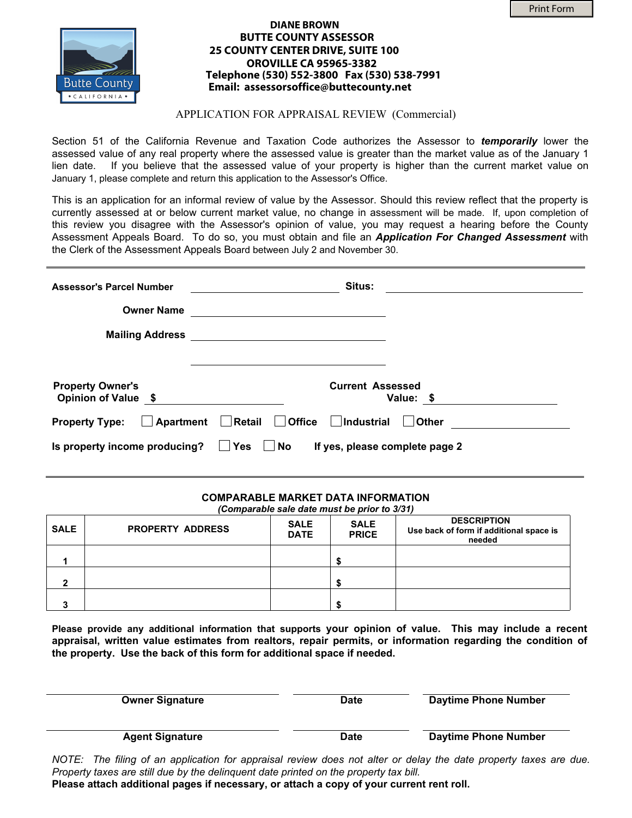

## **DIANE BROWN BUTTE COUNTY ASSESSOR 25 COUNTY CENTER DRIVE, SUITE 100 OROVILLE CA 95965-3382 Telephone (530) 552-3800 Fax (530) 538-7991 Email: assessorsoffice@buttecounty.net**

## APPLICATION FOR APPRAISAL REVIEW (Commercial)

Section 51 of the California Revenue and Taxation Code authorizes the Assessor to *temporarily* lower the assessed value of any real property where the assessed value is greater than the market value as of the January 1 lien date. If you believe that the assessed value of your property is higher than the current market value on January 1, please complete and return this application to the Assessor's Office.

This is an application for an informal review of value by the Assessor. Should this review reflect that the property is currently assessed at or below current market value, no change in assessment will be made. If, upon completion of this review you disagree with the Assessor's opinion of value, you may request a hearing before the County Assessment Appeals Board. To do so, you must obtain and file an *Application For Changed Assessment* with the Clerk of the Assessment Appeals Board between July 2 and November 30.

| <b>Assessor's Parcel Number</b>                | Situs:                                                                      |              |  |  |  |  |  |
|------------------------------------------------|-----------------------------------------------------------------------------|--------------|--|--|--|--|--|
| <b>Owner Name</b><br><b>Mailing Address</b>    |                                                                             |              |  |  |  |  |  |
| <b>Property Owner's</b><br>Opinion of Value \$ | <b>Current Assessed</b>                                                     | Value: \$    |  |  |  |  |  |
| <b>Property Type:</b>                          | △ Apartment △ Retail △ Office △ Industrial                                  | <b>Other</b> |  |  |  |  |  |
| Is property income producing?                  | <b>Yes</b><br>$\overline{\phantom{a}}$ No<br>If yes, please complete page 2 |              |  |  |  |  |  |

## **COMPARABLE MARKET DATA INFORMATION**  *(Comparable sale date must be prior to 3/31)*

| <b>SALE</b> | <b>PROPERTY ADDRESS</b> | <b>SALE</b><br><b>DATE</b> | (Comparable sale date must be prior to 3/31)<br><b>SALE</b><br><b>PRICE</b> | <b>DESCRIPTION</b><br>Use back of form if additional space is<br>needed |
|-------------|-------------------------|----------------------------|-----------------------------------------------------------------------------|-------------------------------------------------------------------------|
|             |                         |                            |                                                                             |                                                                         |
|             |                         |                            |                                                                             |                                                                         |
|             |                         |                            |                                                                             |                                                                         |

**Please provide any additional information that supports your opinion of value. This may include a recent appraisal, written value estimates from realtors, repair permits, or information regarding the condition of the property. Use the back of this form for additional space if needed.** 

| <b>Owner Signature</b> | <b>Date</b> | Daytime Phone Number |
|------------------------|-------------|----------------------|
| <b>Agent Signature</b> | <b>Date</b> | Daytime Phone Number |

*NOTE: The filing of an application for appraisal review does not alter or delay the date property taxes are due. Property taxes are still due by the delinquent date printed on the property tax bill.* 

**Please attach additional pages if necessary, or attach a copy of your current rent roll.**